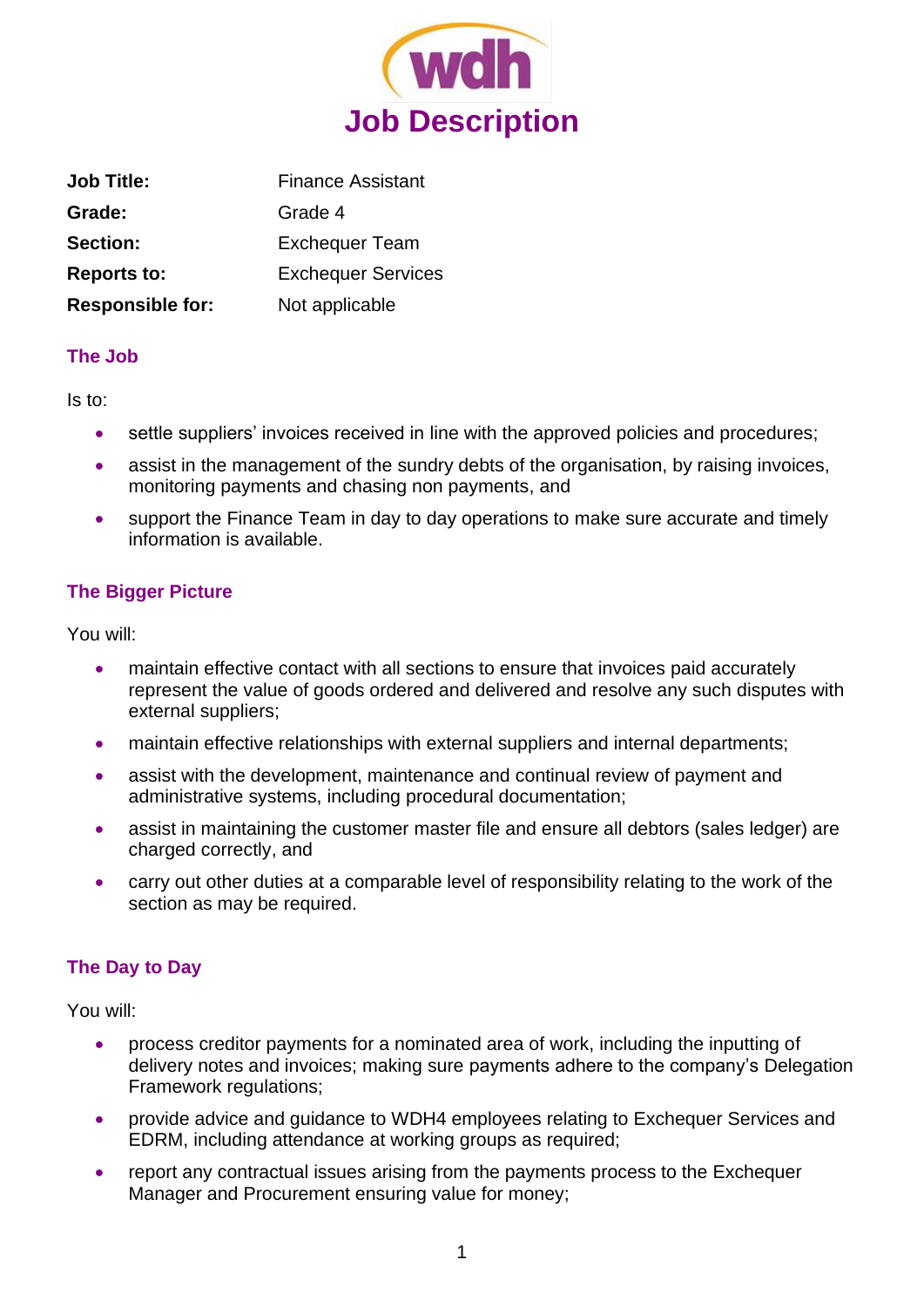

| <b>Job Title:</b>       | <b>Finance Assistant</b>  |
|-------------------------|---------------------------|
| Grade:                  | Grade 4                   |
| <b>Section:</b>         | <b>Exchequer Team</b>     |
| <b>Reports to:</b>      | <b>Exchequer Services</b> |
| <b>Responsible for:</b> | Not applicable            |

### **The Job**

Is to:

- settle suppliers' invoices received in line with the approved policies and procedures;
- assist in the management of the sundry debts of the organisation, by raising invoices, monitoring payments and chasing non payments, and
- support the Finance Team in day to day operations to make sure accurate and timely information is available.

# **The Bigger Picture**

You will:

- maintain effective contact with all sections to ensure that invoices paid accurately represent the value of goods ordered and delivered and resolve any such disputes with external suppliers;
- maintain effective relationships with external suppliers and internal departments;
- assist with the development, maintenance and continual review of payment and administrative systems, including procedural documentation;
- assist in maintaining the customer master file and ensure all debtors (sales ledger) are charged correctly, and
- carry out other duties at a comparable level of responsibility relating to the work of the section as may be required.

## **The Day to Day**

You will:

- process creditor payments for a nominated area of work, including the inputting of delivery notes and invoices; making sure payments adhere to the company's Delegation Framework regulations;
- provide advice and guidance to WDH4 employees relating to Exchequer Services and EDRM, including attendance at working groups as required;
- report any contractual issues arising from the payments process to the Exchequer Manager and Procurement ensuring value for money;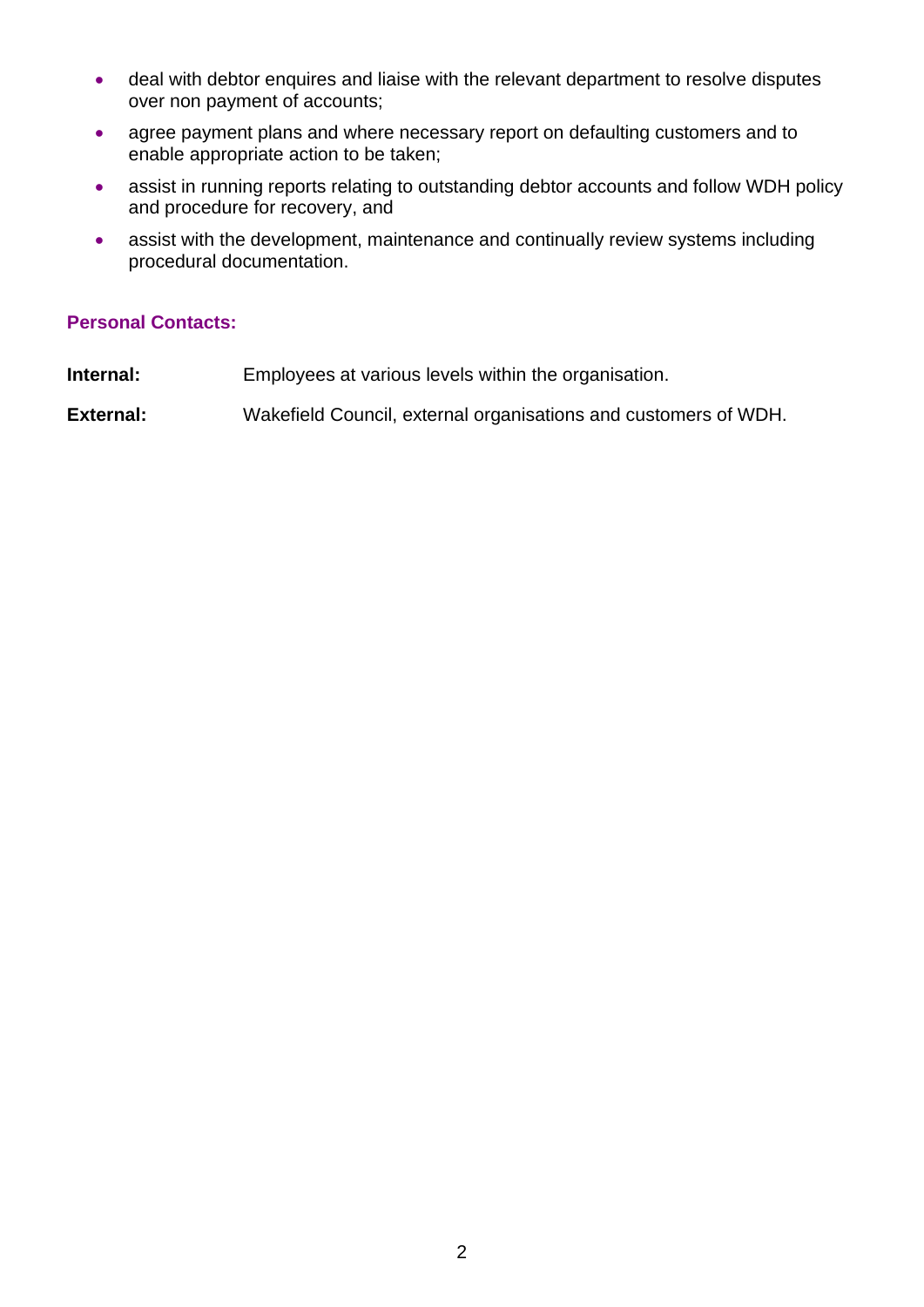- deal with debtor enquires and liaise with the relevant department to resolve disputes over non payment of accounts;
- agree payment plans and where necessary report on defaulting customers and to enable appropriate action to be taken;
- assist in running reports relating to outstanding debtor accounts and follow WDH policy and procedure for recovery, and
- assist with the development, maintenance and continually review systems including procedural documentation.

#### **Personal Contacts:**

- **Internal:** Employees at various levels within the organisation.
- **External:** Wakefield Council, external organisations and customers of WDH.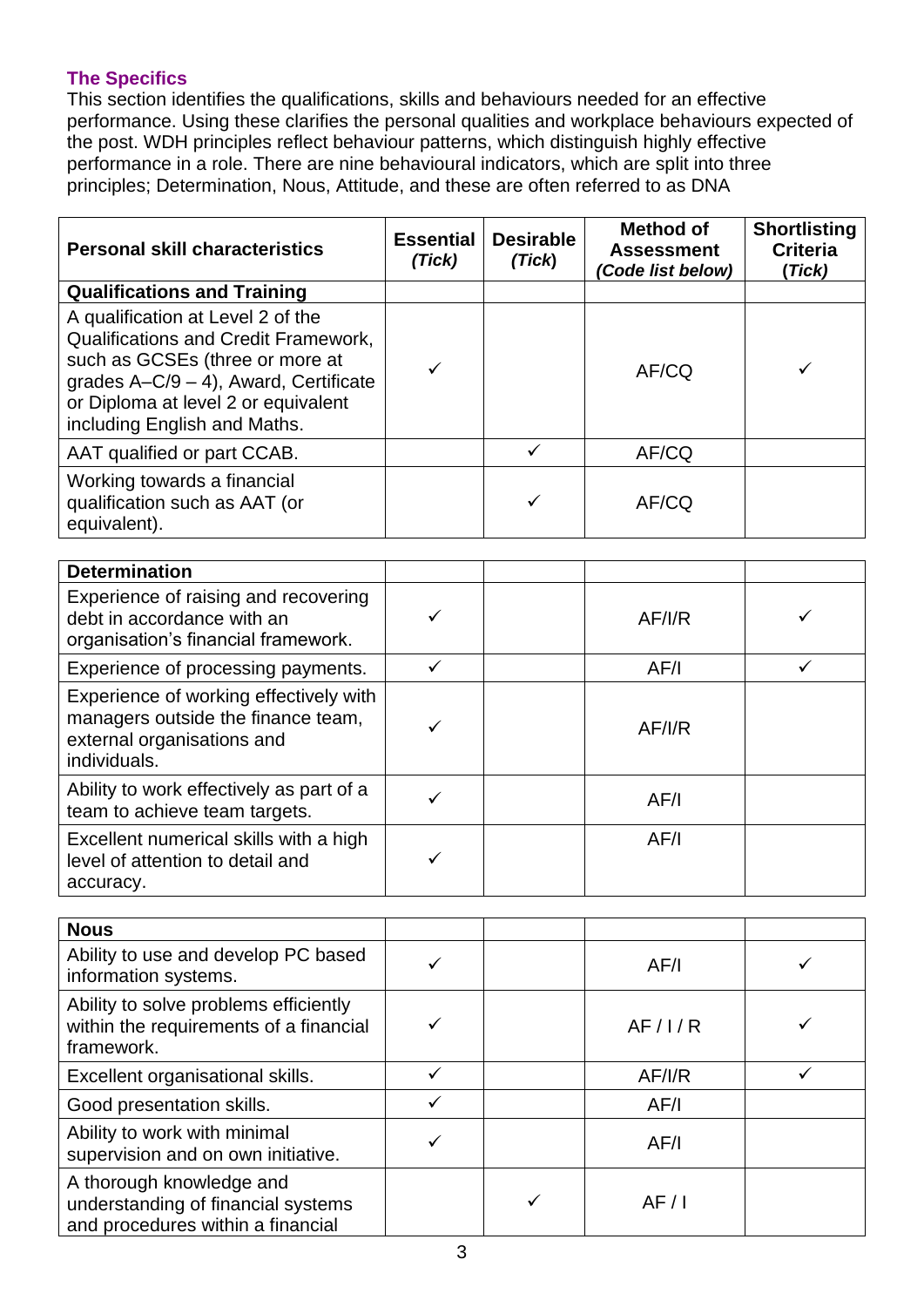# **The Specifics**

This section identifies the qualifications, skills and behaviours needed for an effective performance. Using these clarifies the personal qualities and workplace behaviours expected of the post. WDH principles reflect behaviour patterns, which distinguish highly effective performance in a role. There are nine behavioural indicators, which are split into three principles; Determination, Nous, Attitude, and these are often referred to as DNA

| <b>Personal skill characteristics</b>                                                                                                                                                                                                  | <b>Essential</b><br>(Tick) | <b>Desirable</b><br>(Tick) | <b>Method of</b><br><b>Assessment</b><br>Code list below) | <b>Shortlisting</b><br><b>Criteria</b><br>(Tick) |
|----------------------------------------------------------------------------------------------------------------------------------------------------------------------------------------------------------------------------------------|----------------------------|----------------------------|-----------------------------------------------------------|--------------------------------------------------|
| <b>Qualifications and Training</b>                                                                                                                                                                                                     |                            |                            |                                                           |                                                  |
| A qualification at Level 2 of the<br><b>Qualifications and Credit Framework,</b><br>such as GCSEs (three or more at<br>grades $A-C/9 - 4$ ), Award, Certificate<br>or Diploma at level 2 or equivalent<br>including English and Maths. | ✓                          |                            | AF/CQ                                                     | ✓                                                |
| AAT qualified or part CCAB.                                                                                                                                                                                                            |                            | $\checkmark$               | AF/CQ                                                     |                                                  |
| Working towards a financial<br>qualification such as AAT (or<br>equivalent).                                                                                                                                                           |                            | ✓                          | AF/CQ                                                     |                                                  |
| <b>Determination</b>                                                                                                                                                                                                                   |                            |                            |                                                           |                                                  |
| Experience of raising and recovering<br>debt in accordance with an<br>organisation's financial framework.                                                                                                                              | ✓                          |                            | AF/IR                                                     | ✓                                                |
| Experience of processing payments.                                                                                                                                                                                                     | $\checkmark$               |                            | AF/I                                                      | $\checkmark$                                     |
| Experience of working effectively with<br>managers outside the finance team,<br>external organisations and<br>individuals.                                                                                                             | ✓                          |                            | AF/IR                                                     |                                                  |
| Ability to work effectively as part of a<br>team to achieve team targets.                                                                                                                                                              | ✓                          |                            | AF/I                                                      |                                                  |
| Excellent numerical skills with a high<br>level of attention to detail and<br>accuracy.                                                                                                                                                | ✓                          |                            | AF/I                                                      |                                                  |
|                                                                                                                                                                                                                                        |                            |                            |                                                           |                                                  |
| <b>Nous</b><br>Ability to use and develop PC based<br>information systems.                                                                                                                                                             | $\checkmark$               |                            | AF/I                                                      | ✓                                                |
| Ability to solve problems efficiently<br>within the requirements of a financial<br>framework.                                                                                                                                          | ✓                          |                            | AF/1/R                                                    |                                                  |
| Excellent organisational skills.                                                                                                                                                                                                       | $\checkmark$               |                            | AF/I/R                                                    | ✓                                                |
| Good presentation skills.                                                                                                                                                                                                              | $\checkmark$               |                            | AF/I                                                      |                                                  |
| Ability to work with minimal<br>supervision and on own initiative.                                                                                                                                                                     | ✓                          |                            | AF/I                                                      |                                                  |
| A thorough knowledge and<br>understanding of financial systems<br>and procedures within a financial                                                                                                                                    |                            | ✓                          | AF/1                                                      |                                                  |
|                                                                                                                                                                                                                                        | 3                          |                            |                                                           |                                                  |